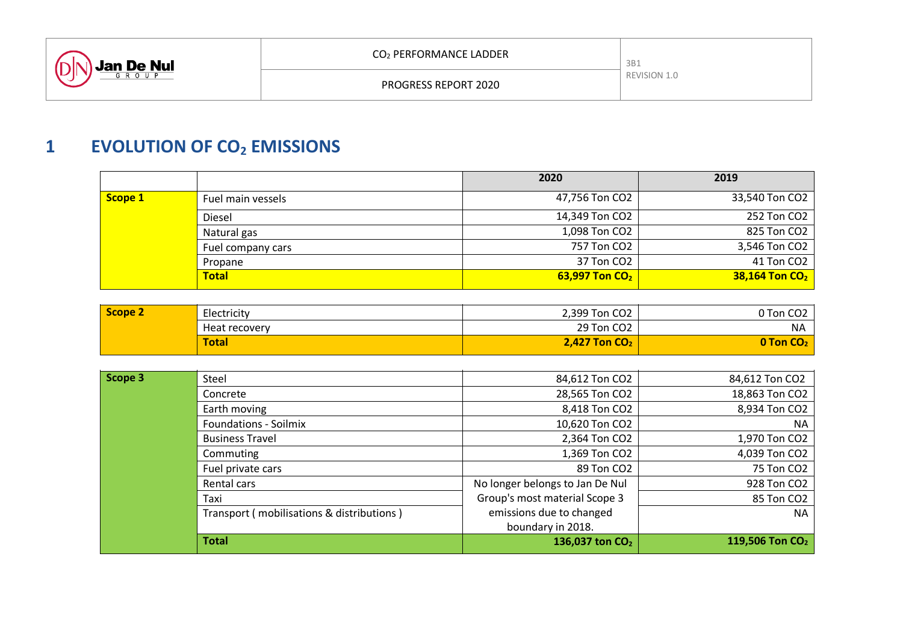

# **1 EVOLUTION OF CO<sup>2</sup> EMISSIONS**

|         |                   | 2020             | 2019                       |
|---------|-------------------|------------------|----------------------------|
| Scope 1 | Fuel main vessels | 47,756 Ton CO2   | 33,540 Ton CO2             |
|         | <b>Diesel</b>     | 14,349 Ton CO2   | 252 Ton CO2                |
|         | Natural gas       | 1,098 Ton CO2    | 825 Ton CO2                |
|         | Fuel company cars | 757 Ton CO2      | 3,546 Ton CO2              |
|         | Propane           | 37 Ton CO2       | 41 Ton CO2                 |
|         | <b>Total</b>      | 63,997 Ton $CO2$ | 38,164 Ton CO <sub>2</sub> |

| Scope 2<br>Electricity |               | 2,399 Ton CO2                   | 0 Ton CO <sub>2</sub>       |
|------------------------|---------------|---------------------------------|-----------------------------|
|                        | Heat recovery | 29 Ton CO2                      | ΝA                          |
|                        | <b>Total</b>  | <b>2,427 Ton CO<sub>2</sub></b> | <b>O Ton CO<sub>2</sub></b> |
|                        |               |                                 |                             |

| Scope 3 | Steel                                     | 84,612 Ton CO2                  | 84,612 Ton CO2              |
|---------|-------------------------------------------|---------------------------------|-----------------------------|
|         | Concrete                                  | 28,565 Ton CO2                  | 18,863 Ton CO2              |
|         | Earth moving                              | 8,418 Ton CO2                   | 8,934 Ton CO2               |
|         | <b>Foundations - Soilmix</b>              | 10,620 Ton CO2                  | <b>NA</b>                   |
|         | <b>Business Travel</b>                    | 2,364 Ton CO2                   | 1,970 Ton CO2               |
|         | Commuting                                 | 1,369 Ton CO2                   | 4,039 Ton CO2               |
|         | Fuel private cars                         | 89 Ton CO2                      | 75 Ton CO2                  |
|         | Rental cars                               | No longer belongs to Jan De Nul | 928 Ton CO2                 |
|         | Taxi                                      | Group's most material Scope 3   | 85 Ton CO2                  |
|         | Transport (mobilisations & distributions) | emissions due to changed        | <b>NA</b>                   |
|         |                                           | boundary in 2018.               |                             |
|         | <b>Total</b>                              | 136,037 ton CO <sub>2</sub>     | 119,506 Ton CO <sub>2</sub> |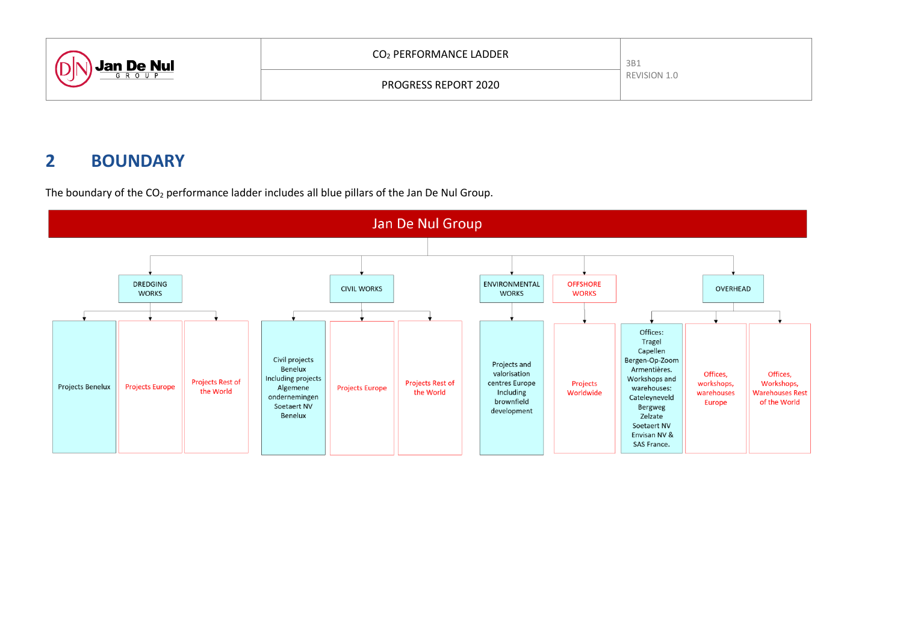| <b>Jan De Nul</b> | CO <sub>2</sub> PERFORMANCE LADDER | 3B1          |
|-------------------|------------------------------------|--------------|
|                   | <b>PROGRESS REPORT 2020</b>        | REVISION 1.0 |

# **2 BOUNDARY**



The boundary of the  $CO<sub>2</sub>$  performance ladder includes all blue pillars of the Jan De Nul Group.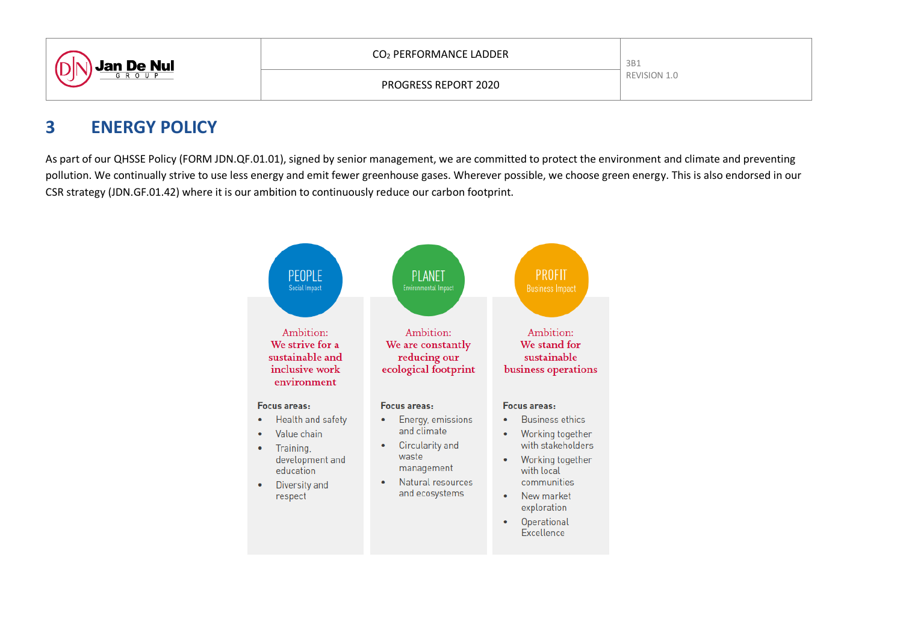

## **3 ENERGY POLICY**

As part of our QHSSE Policy (FORM JDN.QF.01.01), signed by senior management, we are committed to protect the environment and climate and preventing pollution. We continually strive to use less energy and emit fewer greenhouse gases. Wherever possible, we choose green energy. This is also endorsed in our CSR strategy (JDN.GF.01.42) where it is our ambition to continuously reduce our carbon footprint.

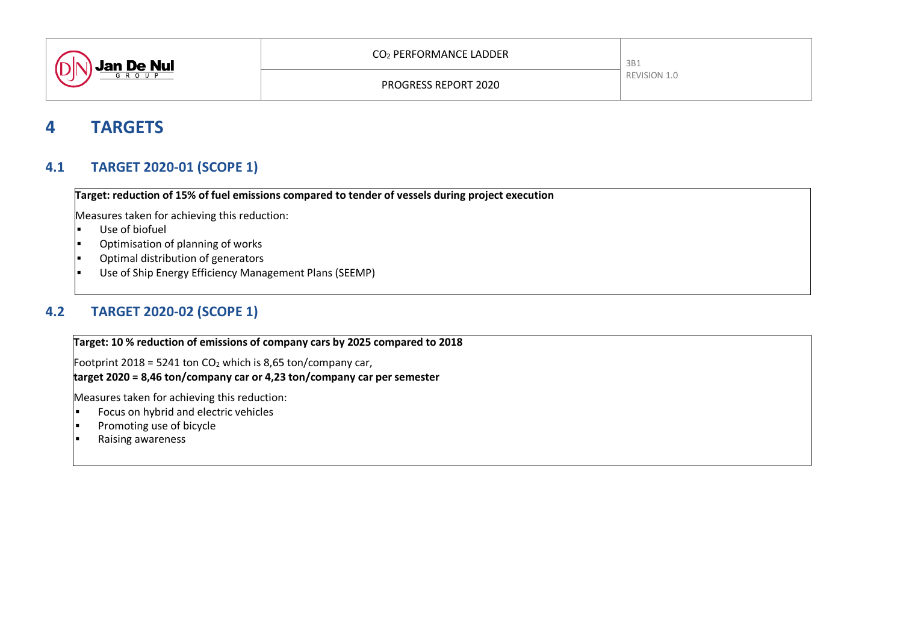

## **4 TARGETS**

### **4.1 TARGET 2020-01 (SCOPE 1)**

**Target: reduction of 15% of fuel emissions compared to tender of vessels during project execution** 

Measures taken for achieving this reduction:

- Use of biofuel
- $\vert$  Optimisation of planning of works
- $\left| \bullet \right|$  Optimal distribution of generators
- Use of Ship Energy Efficiency Management Plans (SEEMP)

## **4.2 TARGET 2020-02 (SCOPE 1)**

**Target: 10 % reduction of emissions of company cars by 2025 compared to 2018**

Footprint 2018 = 5241 ton  $CO<sub>2</sub>$  which is 8,65 ton/company car, **target 2020 = 8,46 ton/company car or 4,23 ton/company car per semester**

- $\left| \cdot \right|$  Focus on hybrid and electric vehicles
- $\left| \bullet \right|$  Promoting use of bicycle
- $\left| \bullet \right|$  Raising awareness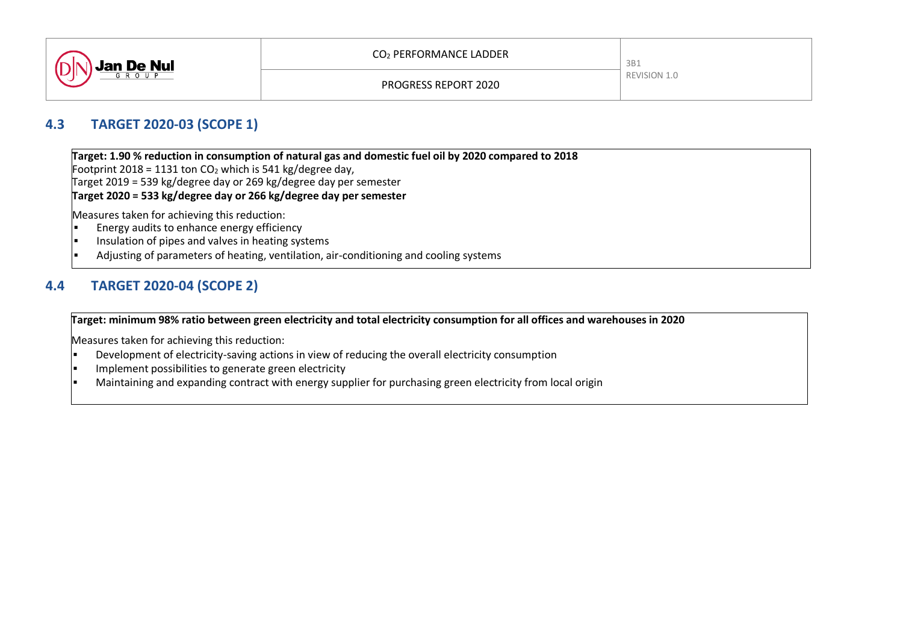

#### **4.3 TARGET 2020-03 (SCOPE 1)**

**Target: 1.90 % reduction in consumption of natural gas and domestic fuel oil by 2020 compared to 2018** Footprint 2018 = 1131 ton  $CO<sub>2</sub>$  which is 541 kg/degree day,

Target 2019 = 539 kg/degree day or 269 kg/degree day per semester

**Target 2020 = 533 kg/degree day or 266 kg/degree day per semester**

Measures taken for achieving this reduction:<br>Figures and its to enhance energy efficient

- Energy audits to enhance energy efficiency
- $\vert$  Insulation of pipes and valves in heating systems
- $\vert$  Adjusting of parameters of heating, ventilation, air-conditioning and cooling systems

## **4.4 TARGET 2020-04 (SCOPE 2)**

#### **Target: minimum 98% ratio between green electricity and total electricity consumption for all offices and warehouses in 2020**

- Development of electricity-saving actions in view of reducing the overall electricity consumption
- Implement possibilities to generate green electricity
- Maintaining and expanding contract with energy supplier for purchasing green electricity from local origin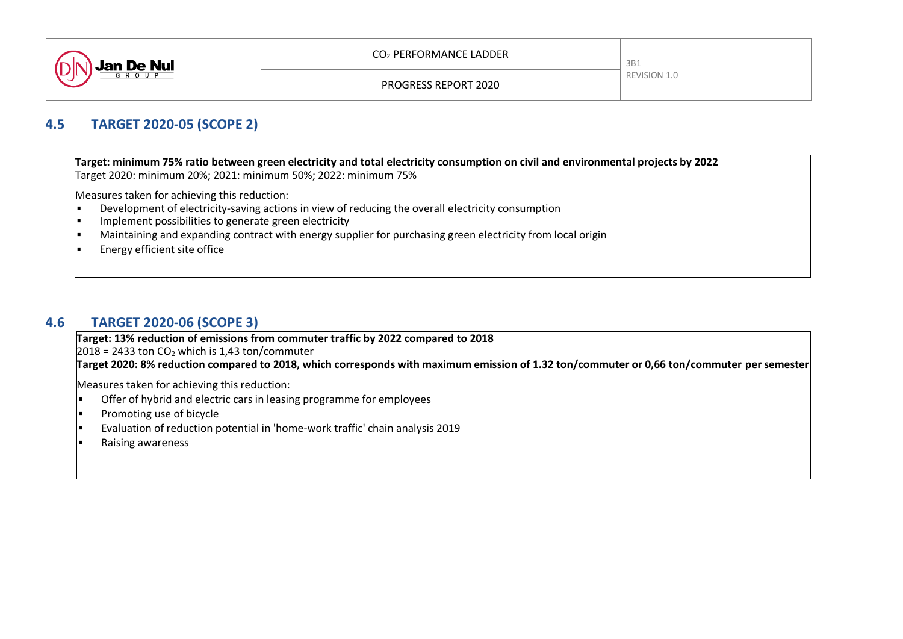

#### **4.5 TARGET 2020-05 (SCOPE 2)**

**Target: minimum 75% ratio between green electricity and total electricity consumption on civil and environmental projects by 2022** Target 2020: minimum 20%; 2021: minimum 50%; 2022: minimum 75%

Measures taken for achieving this reduction:

- $\vert \cdot \vert$  Development of electricity-saving actions in view of reducing the overall electricity consumption
- Implement possibilities to generate green electricity
- $\bullet$  Maintaining and expanding contract with energy supplier for purchasing green electricity from local origin
- $\left| \cdot \right|$  Energy efficient site office

### **4.6 TARGET 2020-06 (SCOPE 3)**

**Target: 13% reduction of emissions from commuter traffic by 2022 compared to 2018**

 $2018 = 2433$  ton CO<sub>2</sub> which is 1,43 ton/commuter

**Target 2020: 8% reduction compared to 2018, which corresponds with maximum emission of 1.32 ton/commuter or 0,66 ton/commuter per semester**

- $\bullet$  Offer of hybrid and electric cars in leasing programme for employees
- $\left| \cdot \right|$  Promoting use of bicycle
- $\vert$  Evaluation of reduction potential in 'home-work traffic' chain analysis 2019
- Raising awareness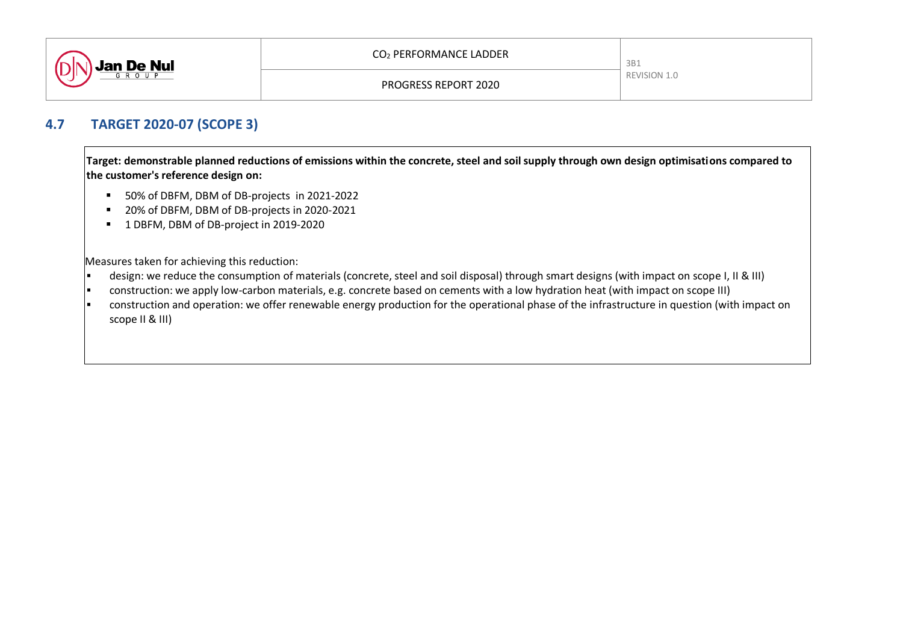

#### **4.7 TARGET 2020-07 (SCOPE 3)**

**Target: demonstrable planned reductions of emissions within the concrete, steel and soil supply through own design optimisations compared to the customer's reference design on:**

- 50% of DBFM, DBM of DB-projects in 2021-2022
- 20% of DBFM, DBM of DB-projects in 2020-2021
- <sup>1</sup> 1 DBFM, DBM of DB-project in 2019-2020

- $\vert$  cesign: we reduce the consumption of materials (concrete, steel and soil disposal) through smart designs (with impact on scope I, II & III)
- construction: we apply low-carbon materials, e.g. concrete based on cements with a low hydration heat (with impact on scope III)
- $\vert \cdot \vert$  construction and operation: we offer renewable energy production for the operational phase of the infrastructure in question (with impact on scope II & III)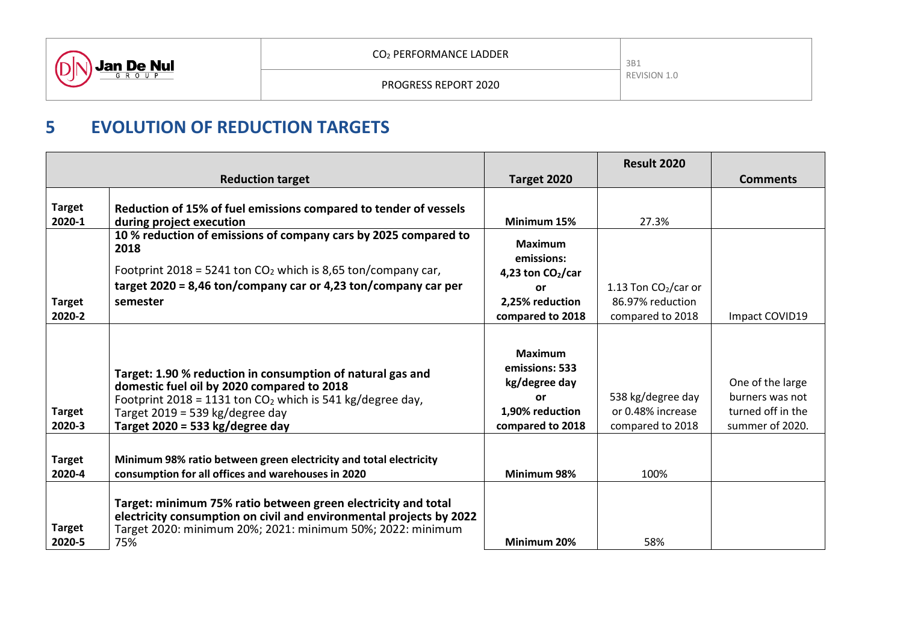

PROGRESS REPORT 2020

# **5 EVOLUTION OF REDUCTION TARGETS**

|                         |                                                                                                                                                                                                                                                  |                                                                                                       | <b>Result 2020</b>                                         |                                                                             |
|-------------------------|--------------------------------------------------------------------------------------------------------------------------------------------------------------------------------------------------------------------------------------------------|-------------------------------------------------------------------------------------------------------|------------------------------------------------------------|-----------------------------------------------------------------------------|
|                         | <b>Reduction target</b>                                                                                                                                                                                                                          | Target 2020                                                                                           |                                                            | <b>Comments</b>                                                             |
|                         |                                                                                                                                                                                                                                                  |                                                                                                       |                                                            |                                                                             |
| <b>Target</b>           | Reduction of 15% of fuel emissions compared to tender of vessels                                                                                                                                                                                 |                                                                                                       |                                                            |                                                                             |
| 2020-1                  | during project execution                                                                                                                                                                                                                         | Minimum 15%                                                                                           | 27.3%                                                      |                                                                             |
|                         | 10% reduction of emissions of company cars by 2025 compared to<br>2018                                                                                                                                                                           | <b>Maximum</b>                                                                                        |                                                            |                                                                             |
|                         |                                                                                                                                                                                                                                                  | emissions:                                                                                            |                                                            |                                                                             |
|                         | Footprint 2018 = 5241 ton $CO2$ which is 8,65 ton/company car,                                                                                                                                                                                   | 4,23 ton $CO2/car$                                                                                    |                                                            |                                                                             |
|                         | target 2020 = 8,46 ton/company car or 4,23 ton/company car per                                                                                                                                                                                   | or                                                                                                    | 1.13 Ton $CO2/car$ or                                      |                                                                             |
| <b>Target</b>           | semester                                                                                                                                                                                                                                         | 2,25% reduction                                                                                       | 86.97% reduction                                           |                                                                             |
| 2020-2                  |                                                                                                                                                                                                                                                  | compared to 2018                                                                                      | compared to 2018                                           | Impact COVID19                                                              |
| <b>Target</b><br>2020-3 | Target: 1.90 % reduction in consumption of natural gas and<br>domestic fuel oil by 2020 compared to 2018<br>Footprint 2018 = 1131 ton $CO2$ which is 541 kg/degree day,<br>Target 2019 = 539 kg/degree day<br>Target 2020 = 533 $kg$ /degree day | <b>Maximum</b><br>emissions: 533<br>kg/degree day<br><b>or</b><br>1,90% reduction<br>compared to 2018 | 538 kg/degree day<br>or 0.48% increase<br>compared to 2018 | One of the large<br>burners was not<br>turned off in the<br>summer of 2020. |
| <b>Target</b><br>2020-4 | Minimum 98% ratio between green electricity and total electricity<br>consumption for all offices and warehouses in 2020                                                                                                                          | Minimum 98%                                                                                           | 100%                                                       |                                                                             |
| <b>Target</b><br>2020-5 | Target: minimum 75% ratio between green electricity and total<br>electricity consumption on civil and environmental projects by 2022<br>Target 2020: minimum 20%; 2021: minimum 50%; 2022: minimum<br>75%                                        | Minimum 20%                                                                                           | 58%                                                        |                                                                             |